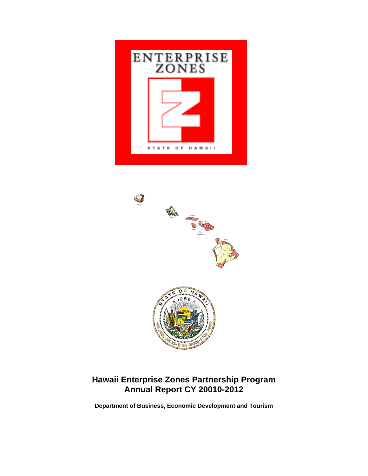



# **Hawaii Enterprise Zones Partnership Program Annual Report CY 20010-2012**

**Department of Business, Economic Development and Tourism**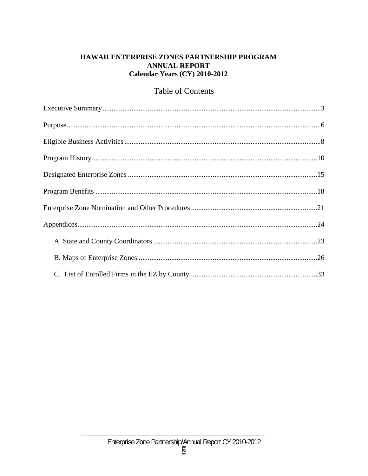# HAWAII ENTERPRISE ZONES PARTNERSHIP PROGRAM **ANNUAL REPORT** Calendar Years (CY) 2010-2012

# **Table of Contents**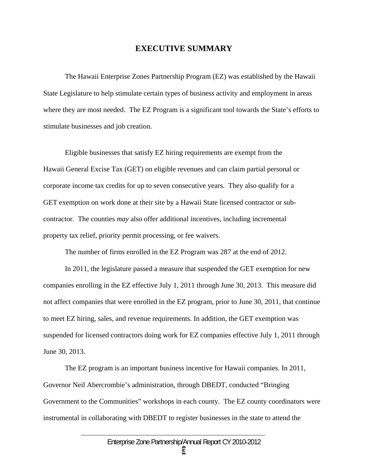## **EXECUTIVE SUMMARY**

The Hawaii Enterprise Zones Partnership Program (EZ) was established by the Hawaii State Legislature to help stimulate certain types of business activity and employment in areas where they are most needed. The EZ Program is a significant tool towards the State's efforts to stimulate businesses and job creation.

Eligible businesses that satisfy EZ hiring requirements are exempt from the Hawaii General Excise Tax (GET) on eligible revenues and can claim partial personal or corporate income tax credits for up to seven consecutive years. They also qualify for a GET exemption on work done at their site by a Hawaii State licensed contractor or subcontractor. The counties *may* also offer additional incentives, including incremental property tax relief, priority permit processing, or fee waivers.

The number of firms enrolled in the EZ Program was 287 at the end of 2012.

In 2011, the legislature passed a measure that suspended the GET exemption for new companies enrolling in the EZ effective July 1, 2011 through June 30, 2013. This measure did not affect companies that were enrolled in the EZ program, prior to June 30, 2011, that continue to meet EZ hiring, sales, and revenue requirements. In addition, the GET exemption was suspended for licensed contractors doing work for EZ companies effective July 1, 2011 through June 30, 2013.

The EZ program is an important business incentive for Hawaii companies. In 2011, Governor Neil Abercrombie's administration, through DBEDT, conducted "Bringing Government to the Communities" workshops in each county. The EZ county coordinators were instrumental in collaborating with DBEDT to register businesses in the state to attend the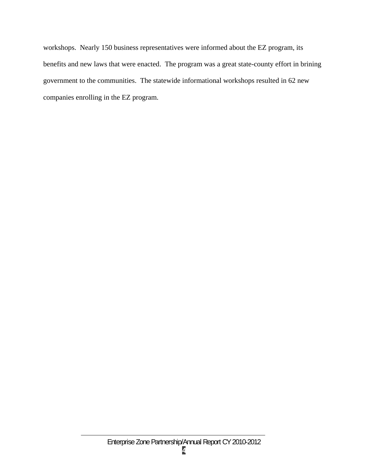workshops. Nearly 150 business representatives were informed about the EZ program, its benefits and new laws that were enacted. The program was a great state-county effort in brining government to the communities. The statewide informational workshops resulted in 62 new companies enrolling in the EZ program.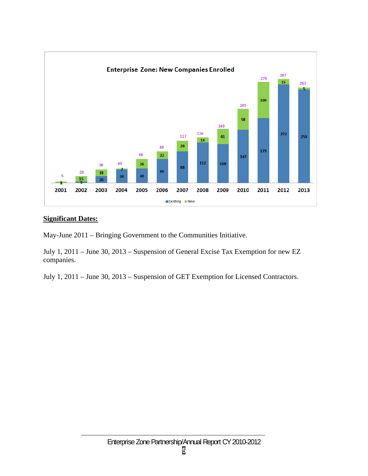

# **Significant Dates:**

May-June 2011 – Bringing Government to the Communities Initiative.

July 1, 2011 – June 30, 2013 – Suspension of General Excise Tax Exemption for new EZ companies.

July 1, 2011 – June 30, 2013 – Suspension of GET Exemption for Licensed Contractors.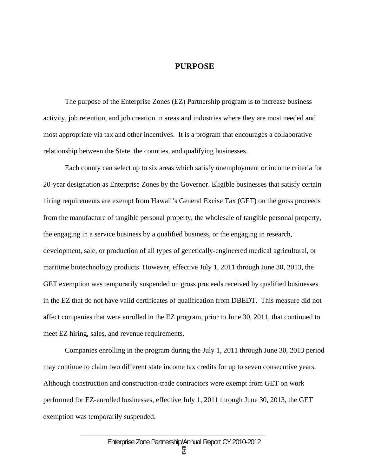#### **PURPOSE**

The purpose of the Enterprise Zones (EZ) Partnership program is to increase business activity, job retention, and job creation in areas and industries where they are most needed and most appropriate via tax and other incentives. It is a program that encourages a collaborative relationship between the State, the counties, and qualifying businesses.

Each county can select up to six areas which satisfy unemployment or income criteria for 20-year designation as Enterprise Zones by the Governor. Eligible businesses that satisfy certain hiring requirements are exempt from Hawaii's General Excise Tax (GET) on the gross proceeds from the manufacture of tangible personal property, the wholesale of tangible personal property, the engaging in a service business by a qualified business, or the engaging in research, development, sale, or production of all types of genetically-engineered medical agricultural, or maritime biotechnology products. However, effective July 1, 2011 through June 30, 2013, the GET exemption was temporarily suspended on gross proceeds received by qualified businesses in the EZ that do not have valid certificates of qualification from DBEDT. This measure did not affect companies that were enrolled in the EZ program, prior to June 30, 2011, that continued to meet EZ hiring, sales, and revenue requirements.

Companies enrolling in the program during the July 1, 2011 through June 30, 2013 period may continue to claim two different state income tax credits for up to seven consecutive years. Although construction and construction-trade contractors were exempt from GET on work performed for EZ-enrolled businesses, effective July 1, 2011 through June 30, 2013, the GET exemption was temporarily suspended.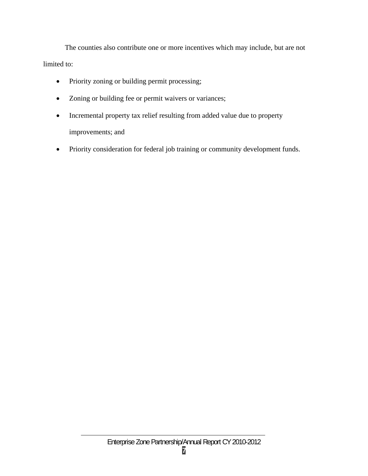The counties also contribute one or more incentives which may include, but are not limited to:

- Priority zoning or building permit processing;
- Zoning or building fee or permit waivers or variances;
- Incremental property tax relief resulting from added value due to property improvements; and
- Priority consideration for federal job training or community development funds.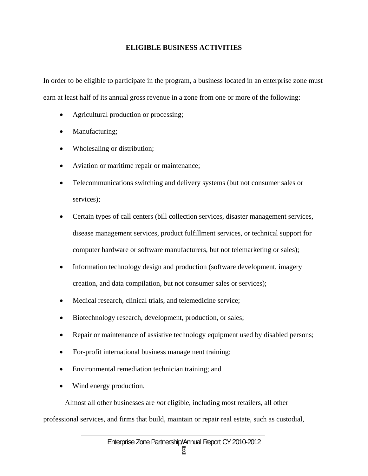# **ELIGIBLE BUSINESS ACTIVITIES**

In order to be eligible to participate in the program, a business located in an enterprise zone must earn at least half of its annual gross revenue in a zone from one or more of the following:

- Agricultural production or processing;
- Manufacturing;
- Wholesaling or distribution;
- Aviation or maritime repair or maintenance;
- Telecommunications switching and delivery systems (but not consumer sales or services);
- Certain types of call centers (bill collection services, disaster management services, disease management services, product fulfillment services, or technical support for computer hardware or software manufacturers, but not telemarketing or sales);
- Information technology design and production (software development, imagery creation, and data compilation, but not consumer sales or services);
- Medical research, clinical trials, and telemedicine service;
- Biotechnology research, development, production, or sales;
- Repair or maintenance of assistive technology equipment used by disabled persons;
- For-profit international business management training;
- Environmental remediation technician training; and
- Wind energy production.

Almost all other businesses are *not* eligible, including most retailers, all other professional services, and firms that build, maintain or repair real estate, such as custodial,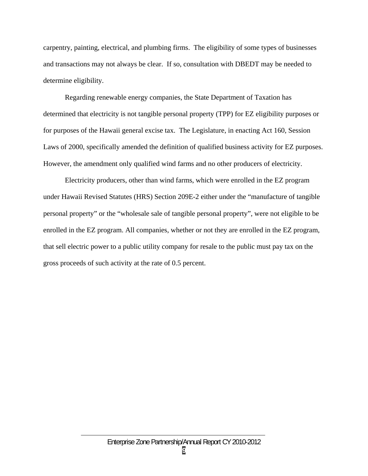carpentry, painting, electrical, and plumbing firms. The eligibility of some types of businesses and transactions may not always be clear. If so, consultation with DBEDT may be needed to determine eligibility.

Regarding renewable energy companies, the State Department of Taxation has determined that electricity is not tangible personal property (TPP) for EZ eligibility purposes or for purposes of the Hawaii general excise tax. The Legislature, in enacting Act 160, Session Laws of 2000, specifically amended the definition of qualified business activity for EZ purposes. However, the amendment only qualified wind farms and no other producers of electricity.

Electricity producers, other than wind farms, which were enrolled in the EZ program under Hawaii Revised Statutes (HRS) Section 209E-2 either under the "manufacture of tangible personal property" or the "wholesale sale of tangible personal property", were not eligible to be enrolled in the EZ program. All companies, whether or not they are enrolled in the EZ program, that sell electric power to a public utility company for resale to the public must pay tax on the gross proceeds of such activity at the rate of 0.5 percent.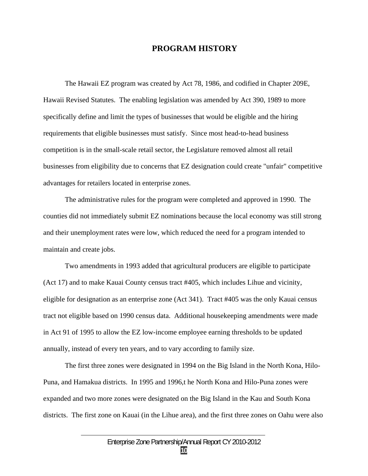## **PROGRAM HISTORY**

The Hawaii EZ program was created by Act 78, 1986, and codified in Chapter 209E, Hawaii Revised Statutes. The enabling legislation was amended by Act 390, 1989 to more specifically define and limit the types of businesses that would be eligible and the hiring requirements that eligible businesses must satisfy. Since most head-to-head business competition is in the small-scale retail sector, the Legislature removed almost all retail businesses from eligibility due to concerns that EZ designation could create "unfair" competitive advantages for retailers located in enterprise zones.

 The administrative rules for the program were completed and approved in 1990. The counties did not immediately submit EZ nominations because the local economy was still strong and their unemployment rates were low, which reduced the need for a program intended to maintain and create jobs.

 Two amendments in 1993 added that agricultural producers are eligible to participate (Act 17) and to make Kauai County census tract #405, which includes Lihue and vicinity, eligible for designation as an enterprise zone (Act 341). Tract #405 was the only Kauai census tract not eligible based on 1990 census data. Additional housekeeping amendments were made in Act 91 of 1995 to allow the EZ low-income employee earning thresholds to be updated annually, instead of every ten years, and to vary according to family size.

 The first three zones were designated in 1994 on the Big Island in the North Kona, Hilo-Puna, and Hamakua districts. In 1995 and 1996,t he North Kona and Hilo-Puna zones were expanded and two more zones were designated on the Big Island in the Kau and South Kona districts. The first zone on Kauai (in the Lihue area), and the first three zones on Oahu were also

**10**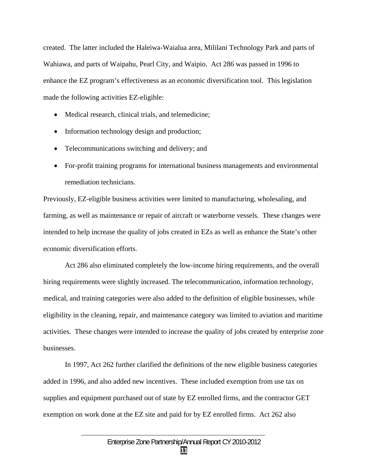created. The latter included the Haleiwa-Waialua area, Mililani Technology Park and parts of Wahiawa, and parts of Waipahu, Pearl City, and Waipio. Act 286 was passed in 1996 to enhance the EZ program's effectiveness as an economic diversification tool. This legislation made the following activities EZ-eligible:

- Medical research, clinical trials, and telemedicine;
- Information technology design and production;
- Telecommunications switching and delivery; and
- For-profit training programs for international business managements and environmental remediation technicians.

Previously, EZ-eligible business activities were limited to manufacturing, wholesaling, and farming, as well as maintenance or repair of aircraft or waterborne vessels. These changes were intended to help increase the quality of jobs created in EZs as well as enhance the State's other economic diversification efforts.

 Act 286 also eliminated completely the low-income hiring requirements, and the overall hiring requirements were slightly increased. The telecommunication, information technology, medical, and training categories were also added to the definition of eligible businesses, while eligibility in the cleaning, repair, and maintenance category was limited to aviation and maritime activities. These changes were intended to increase the quality of jobs created by enterprise zone businesses.

 In 1997, Act 262 further clarified the definitions of the new eligible business categories added in 1996, and also added new incentives. These included exemption from use tax on supplies and equipment purchased out of state by EZ enrolled firms, and the contractor GET exemption on work done at the EZ site and paid for by EZ enrolled firms. Act 262 also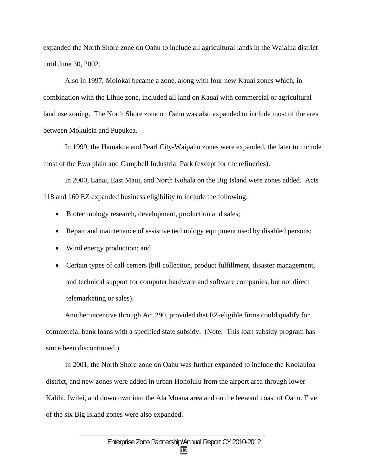expanded the North Shore zone on Oahu to include all agricultural lands in the Waialua district until June 30, 2002.

 Also in 1997, Molokai became a zone, along with four new Kauai zones which, in combination with the Lihue zone, included all land on Kauai with commercial or agricultural land use zoning. The North Shore zone on Oahu was also expanded to include most of the area between Mokuleia and Pupukea.

 In 1999, the Hamakua and Pearl City-Waipahu zones were expanded, the later to include most of the Ewa plain and Campbell Industrial Park (except for the refineries).

 In 2000, Lanai, East Maui, and North Kohala on the Big Island were zones added. Acts 118 and 160 EZ expanded business eligibility to include the following:

- Biotechnology research, development, production and sales;
- Repair and maintenance of assistive technology equipment used by disabled persons;
- Wind energy production; and
- Certain types of call centers (bill collection, product fulfillment, disaster management, and technical support for computer hardware and software companies, but not direct telemarketing or sales).

 Another incentive through Act 290, provided that EZ-eligible firms could qualify for commercial bank loans with a specified state subsidy. (Note: This loan subsidy program has since been discontinued.)

 In 2001, the North Shore zone on Oahu was further expanded to include the Koolauloa district, and new zones were added in urban Honolulu from the airport area through lower Kalihi, Iwilei, and downtown into the Ala Moana area and on the leeward coast of Oahu. Five of the six Big Island zones were also expanded.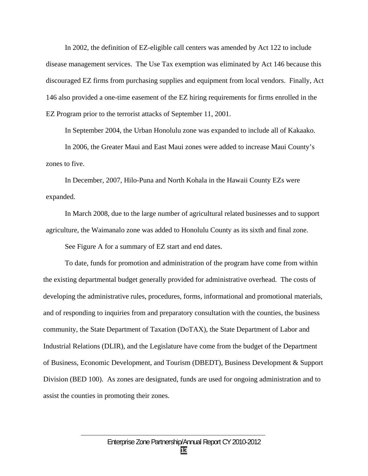In 2002, the definition of EZ-eligible call centers was amended by Act 122 to include disease management services. The Use Tax exemption was eliminated by Act 146 because this discouraged EZ firms from purchasing supplies and equipment from local vendors. Finally, Act 146 also provided a one-time easement of the EZ hiring requirements for firms enrolled in the EZ Program prior to the terrorist attacks of September 11, 2001.

In September 2004, the Urban Honolulu zone was expanded to include all of Kakaako.

 In 2006, the Greater Maui and East Maui zones were added to increase Maui County's zones to five.

 In December, 2007, Hilo-Puna and North Kohala in the Hawaii County EZs were expanded.

 In March 2008, due to the large number of agricultural related businesses and to support agriculture, the Waimanalo zone was added to Honolulu County as its sixth and final zone.

See Figure A for a summary of EZ start and end dates.

 To date, funds for promotion and administration of the program have come from within the existing departmental budget generally provided for administrative overhead. The costs of developing the administrative rules, procedures, forms, informational and promotional materials, and of responding to inquiries from and preparatory consultation with the counties, the business community, the State Department of Taxation (DoTAX), the State Department of Labor and Industrial Relations (DLIR), and the Legislature have come from the budget of the Department of Business, Economic Development, and Tourism (DBEDT), Business Development & Support Division (BED 100). As zones are designated, funds are used for ongoing administration and to assist the counties in promoting their zones.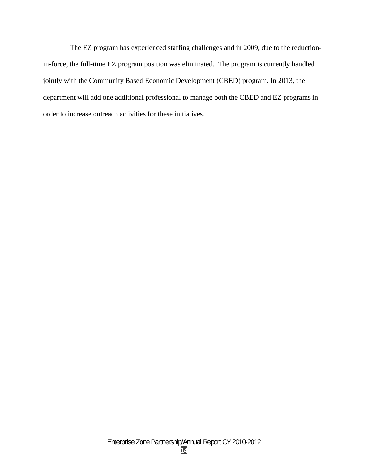The EZ program has experienced staffing challenges and in 2009, due to the reductionin-force, the full-time EZ program position was eliminated. The program is currently handled jointly with the Community Based Economic Development (CBED) program. In 2013, the department will add one additional professional to manage both the CBED and EZ programs in order to increase outreach activities for these initiatives.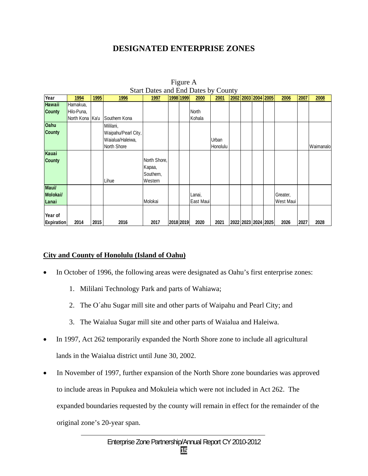# **DESIGNATED ENTERPRISE ZONES**

|                   |                 |      |                     | Start Dates and End Dates by County |           |           |          |  |                     |           |      |           |
|-------------------|-----------------|------|---------------------|-------------------------------------|-----------|-----------|----------|--|---------------------|-----------|------|-----------|
| Year              | 1994            | 1995 | 1996                | 1997                                | 1998 1999 | 2000      | 2001     |  | 2002 2003 2004 2005 | 2006      | 2007 | 2008      |
| <b>Hawaii</b>     | Hamakua,        |      |                     |                                     |           |           |          |  |                     |           |      |           |
| <b>County</b>     | Hilo-Puna,      |      |                     |                                     |           | North     |          |  |                     |           |      |           |
|                   | North Kona Ka'u |      | Southern Kona       |                                     |           | Kohala    |          |  |                     |           |      |           |
| <b>Oahu</b>       |                 |      | Mililani,           |                                     |           |           |          |  |                     |           |      |           |
| <b>County</b>     |                 |      | Waipahu/Pearl City, |                                     |           |           |          |  |                     |           |      |           |
|                   |                 |      | Waialua/Haleiwa,    |                                     |           |           | Urban    |  |                     |           |      |           |
|                   |                 |      | North Shore         |                                     |           |           | Honolulu |  |                     |           |      | Waimanalo |
| Kauai             |                 |      |                     |                                     |           |           |          |  |                     |           |      |           |
| <b>County</b>     |                 |      |                     | North Shore,                        |           |           |          |  |                     |           |      |           |
|                   |                 |      |                     | Kapaa,                              |           |           |          |  |                     |           |      |           |
|                   |                 |      |                     | Southern,                           |           |           |          |  |                     |           |      |           |
|                   |                 |      | Lihue               | Western                             |           |           |          |  |                     |           |      |           |
| Maui/             |                 |      |                     |                                     |           |           |          |  |                     |           |      |           |
| Molokai/          |                 |      |                     |                                     |           | Lanai,    |          |  |                     | Greater,  |      |           |
| Lanai             |                 |      |                     | Molokai                             |           | East Maui |          |  |                     | West Maui |      |           |
|                   |                 |      |                     |                                     |           |           |          |  |                     |           |      |           |
| Year of           |                 |      |                     |                                     |           |           |          |  |                     |           |      |           |
| <b>Expiration</b> | 2014            | 2015 | 2016                | 2017                                | 2018 2019 | 2020      | 2021     |  | 2022 2023 2024 2025 | 2026      | 2027 | 2028      |

Figure A Start Dates and End Dates by County

# **City and County of Honolulu (Island of Oahu)**

- In October of 1996, the following areas were designated as Oahu's first enterprise zones:
	- 1. Mililani Technology Park and parts of Wahiawa;
	- 2. The O´ahu Sugar mill site and other parts of Waipahu and Pearl City; and
	- 3. The Waialua Sugar mill site and other parts of Waialua and Haleiwa.
- In 1997, Act 262 temporarily expanded the North Shore zone to include all agricultural lands in the Waialua district until June 30, 2002.
- In November of 1997, further expansion of the North Shore zone boundaries was approved to include areas in Pupukea and Mokuleia which were not included in Act 262. The expanded boundaries requested by the county will remain in effect for the remainder of the original zone's 20-year span.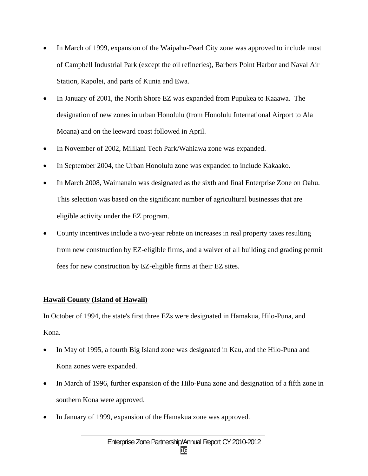- In March of 1999, expansion of the Waipahu-Pearl City zone was approved to include most of Campbell Industrial Park (except the oil refineries), Barbers Point Harbor and Naval Air Station, Kapolei, and parts of Kunia and Ewa.
- In January of 2001, the North Shore EZ was expanded from Pupukea to Kaaawa. The designation of new zones in urban Honolulu (from Honolulu International Airport to Ala Moana) and on the leeward coast followed in April.
- In November of 2002, Mililani Tech Park/Wahiawa zone was expanded.
- In September 2004, the Urban Honolulu zone was expanded to include Kakaako.
- In March 2008, Waimanalo was designated as the sixth and final Enterprise Zone on Oahu. This selection was based on the significant number of agricultural businesses that are eligible activity under the EZ program.
- County incentives include a two-year rebate on increases in real property taxes resulting from new construction by EZ-eligible firms, and a waiver of all building and grading permit fees for new construction by EZ-eligible firms at their EZ sites.

# **Hawaii County (Island of Hawaii)**

In October of 1994, the state's first three EZs were designated in Hamakua, Hilo-Puna, and Kona.

- In May of 1995, a fourth Big Island zone was designated in Kau, and the Hilo-Puna and Kona zones were expanded.
- In March of 1996, further expansion of the Hilo-Puna zone and designation of a fifth zone in southern Kona were approved.
- In January of 1999, expansion of the Hamakua zone was approved.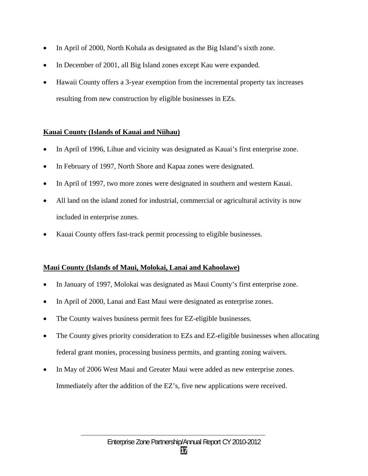- In April of 2000, North Kohala as designated as the Big Island's sixth zone.
- In December of 2001, all Big Island zones except Kau were expanded.
- Hawaii County offers a 3-year exemption from the incremental property tax increases resulting from new construction by eligible businesses in EZs.

# **Kauai County (Islands of Kauai and Niihau)**

- In April of 1996, Lihue and vicinity was designated as Kauai's first enterprise zone.
- In February of 1997, North Shore and Kapaa zones were designated.
- In April of 1997, two more zones were designated in southern and western Kauai.
- All land on the island zoned for industrial, commercial or agricultural activity is now included in enterprise zones.
- Kauai County offers fast-track permit processing to eligible businesses.

## **Maui County (Islands of Maui, Molokai, Lanai and Kahoolawe)**

- In January of 1997, Molokai was designated as Maui County's first enterprise zone.
- In April of 2000, Lanai and East Maui were designated as enterprise zones.
- The County waives business permit fees for EZ-eligible businesses.
- The County gives priority consideration to EZs and EZ-eligible businesses when allocating federal grant monies, processing business permits, and granting zoning waivers.
- In May of 2006 West Maui and Greater Maui were added as new enterprise zones. Immediately after the addition of the EZ's, five new applications were received.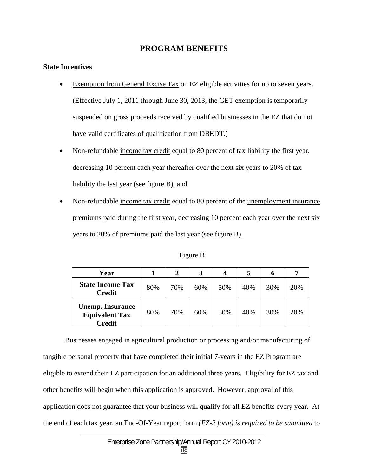# **PROGRAM BENEFITS**

#### **State Incentives**

- Exemption from General Excise Tax on EZ eligible activities for up to seven years. (Effective July 1, 2011 through June 30, 2013, the GET exemption is temporarily suspended on gross proceeds received by qualified businesses in the EZ that do not have valid certificates of qualification from DBEDT.)
- Non-refundable income tax credit equal to 80 percent of tax liability the first year, decreasing 10 percent each year thereafter over the next six years to 20% of tax liability the last year (see figure B), and
- Non-refundable income tax credit equal to 80 percent of the unemployment insurance premiums paid during the first year, decreasing 10 percent each year over the next six years to 20% of premiums paid the last year (see figure B).

| Year                                                       |     | $\mathbf 2$ |     | 4   | 5   | o   |     |
|------------------------------------------------------------|-----|-------------|-----|-----|-----|-----|-----|
| <b>State Income Tax</b><br><b>Credit</b>                   | 80% | 70%         | 60% | 50% | 40% | 30% | 20% |
| <b>Unemp. Insurance</b><br><b>Equivalent Tax</b><br>Credit | 80% | 70%         | 60% | 50% | 40% | 30% | 20% |

Figure B

 Businesses engaged in agricultural production or processing and/or manufacturing of tangible personal property that have completed their initial 7-years in the EZ Program are eligible to extend their EZ participation for an additional three years. Eligibility for EZ tax and other benefits will begin when this application is approved. However, approval of this application does not guarantee that your business will qualify for all EZ benefits every year. At the end of each tax year, an End-Of-Year report form *(EZ-2 form) is required to be submitted* to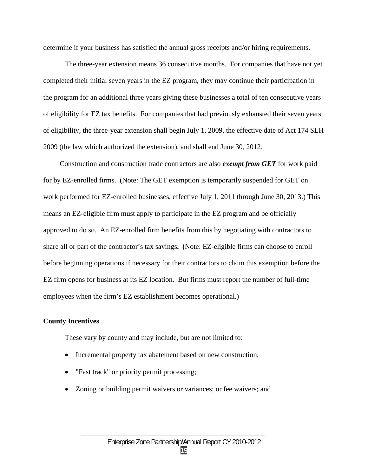determine if your business has satisfied the annual gross receipts and/or hiring requirements.

 The three-year extension means 36 consecutive months. For companies that have not yet completed their initial seven years in the EZ program, they may continue their participation in the program for an additional three years giving these businesses a total of ten consecutive years of eligibility for EZ tax benefits. For companies that had previously exhausted their seven years of eligibility, the three-year extension shall begin July 1, 2009, the effective date of Act 174 SLH 2009 (the law which authorized the extension), and shall end June 30, 2012.

Construction and construction trade contractors are also *exempt from GET* for work paid for by EZ-enrolled firms. (Note: The GET exemption is temporarily suspended for GET on work performed for EZ-enrolled businesses, effective July 1, 2011 through June 30, 2013.) This means an EZ-eligible firm must apply to participate in the EZ program and be officially approved to do so. An EZ-enrolled firm benefits from this by negotiating with contractors to share all or part of the contractor's tax savings**. (**Note: EZ-eligible firms can choose to enroll before beginning operations if necessary for their contractors to claim this exemption before the EZ firm opens for business at its EZ location. But firms must report the number of full-time employees when the firm's EZ establishment becomes operational.)

#### **County Incentives**

These vary by county and may include, but are not limited to:

- Incremental property tax abatement based on new construction;
- "Fast track" or priority permit processing;
- Zoning or building permit waivers or variances; or fee waivers; and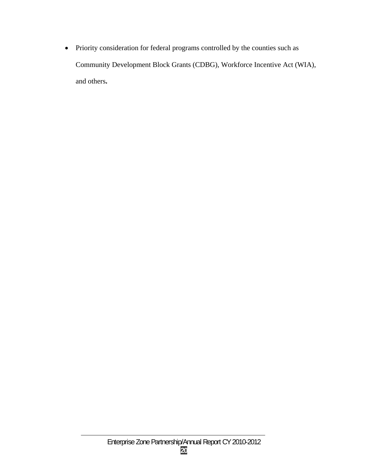Priority consideration for federal programs controlled by the counties such as Community Development Block Grants (CDBG), Workforce Incentive Act (WIA), and others**.**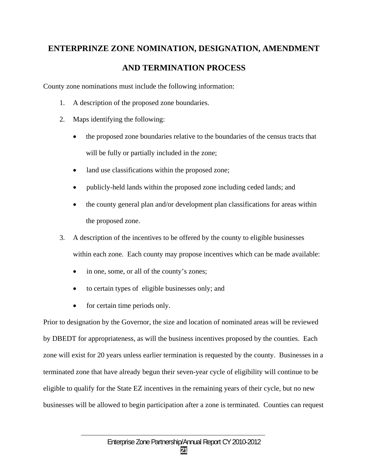# **ENTERPRINZE ZONE NOMINATION, DESIGNATION, AMENDMENT**

# **AND TERMINATION PROCESS**

County zone nominations must include the following information:

- 1. A description of the proposed zone boundaries.
- 2. Maps identifying the following:
	- the proposed zone boundaries relative to the boundaries of the census tracts that will be fully or partially included in the zone;
	- land use classifications within the proposed zone;
	- publicly-held lands within the proposed zone including ceded lands; and
	- the county general plan and/or development plan classifications for areas within the proposed zone.
- 3. A description of the incentives to be offered by the county to eligible businesses within each zone. Each county may propose incentives which can be made available:
	- in one, some, or all of the county's zones;
	- to certain types of eligible businesses only; and
	- for certain time periods only.

Prior to designation by the Governor, the size and location of nominated areas will be reviewed by DBEDT for appropriateness, as will the business incentives proposed by the counties. Each zone will exist for 20 years unless earlier termination is requested by the county. Businesses in a terminated zone that have already begun their seven-year cycle of eligibility will continue to be eligible to qualify for the State EZ incentives in the remaining years of their cycle, but no new businesses will be allowed to begin participation after a zone is terminated. Counties can request

**21**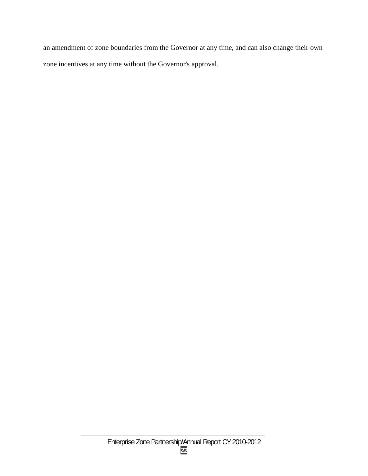an amendment of zone boundaries from the Governor at any time, and can also change their own zone incentives at any time without the Governor's approval.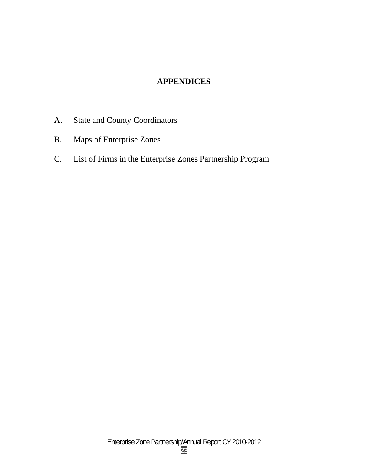# **APPENDICES**

- A. State and County Coordinators
- B. Maps of Enterprise Zones
- C. List of Firms in the Enterprise Zones Partnership Program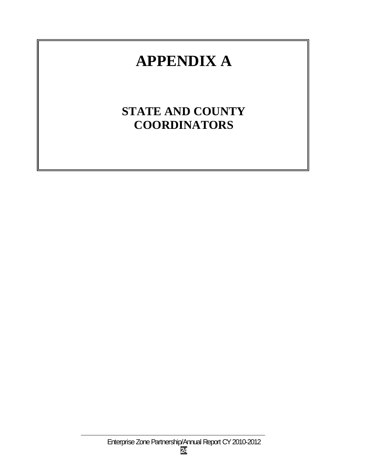# **APPENDIX A**

# **STATE AND COUNTY COORDINATORS**

Enterprise Zone Partnership/Annual Report CY 2010-2012 **24**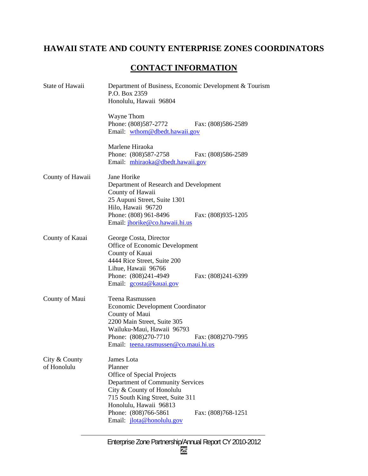# **HAWAII STATE AND COUNTY ENTERPRISE ZONES COORDINATORS**

# **CONTACT INFORMATION**

| State of Hawaii              | Department of Business, Economic Development & Tourism<br>P.O. Box 2359<br>Honolulu, Hawaii 96804                                                                                                                                              |                    |  |  |  |  |
|------------------------------|------------------------------------------------------------------------------------------------------------------------------------------------------------------------------------------------------------------------------------------------|--------------------|--|--|--|--|
|                              | Wayne Thom<br>Phone: (808)587-2772<br>Email: wthom@dbedt.hawaii.gov                                                                                                                                                                            | Fax: (808)586-2589 |  |  |  |  |
|                              | Marlene Hiraoka<br>Phone: (808)587-2758<br>Email: mhiraoka@dbedt.hawaii.gov                                                                                                                                                                    | Fax: (808)586-2589 |  |  |  |  |
| County of Hawaii             | Jane Horike<br>Department of Research and Development<br>County of Hawaii<br>25 Aupuni Street, Suite 1301<br>Hilo, Hawaii 96720<br>Phone: (808) 961-8496<br>Email: jhorike@co.hawaii.hi.us                                                     | Fax: (808)935-1205 |  |  |  |  |
| County of Kauai              | George Costa, Director<br>Office of Economic Development<br>County of Kauai<br>4444 Rice Street, Suite 200<br>Lihue, Hawaii 96766<br>Phone: (808)241-4949<br>Email: gcosta@kauai.gov                                                           | Fax: (808)241-6399 |  |  |  |  |
| County of Maui               | Teena Rasmussen<br>Economic Development Coordinator<br>County of Maui<br>2200 Main Street, Suite 305<br>Wailuku-Maui, Hawaii 96793<br>Phone: (808)270-7710<br>Email: teena.rasmussen@co.maui.hi.us                                             | Fax: (808)270-7995 |  |  |  |  |
| City & County<br>of Honolulu | James Lota<br>Planner<br>Office of Special Projects<br>Department of Community Services<br>City & County of Honolulu<br>715 South King Street, Suite 311<br>Honolulu, Hawaii 96813<br>Phone: (808)766-5861<br>Email: <i>jlota@honolulu.gov</i> | Fax: (808)768-1251 |  |  |  |  |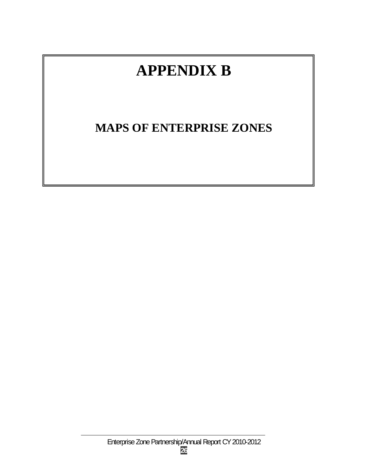# **APPENDIX B**

# **MAPS OF ENTERPRISE ZONES**

Enterprise Zone Partnership/Annual Report CY 2010-2012 **26**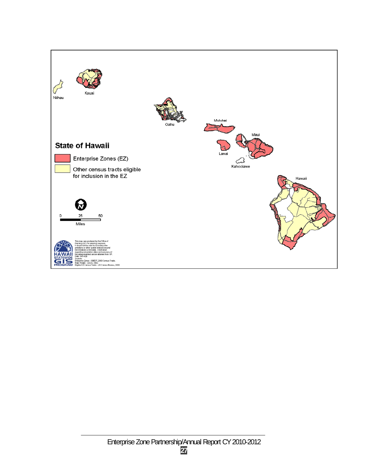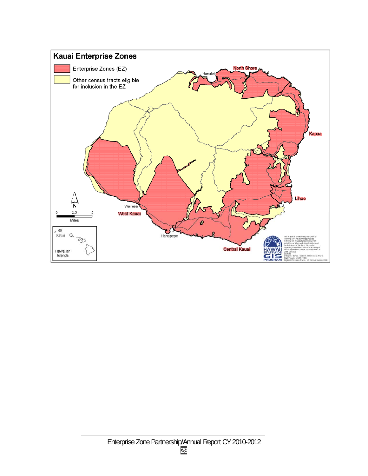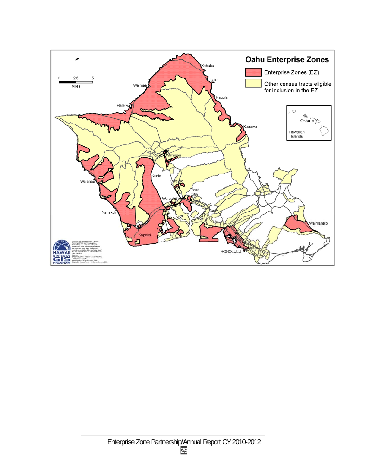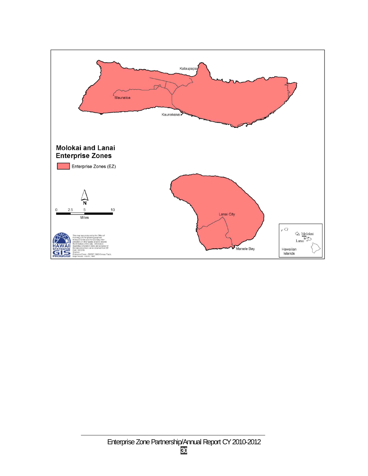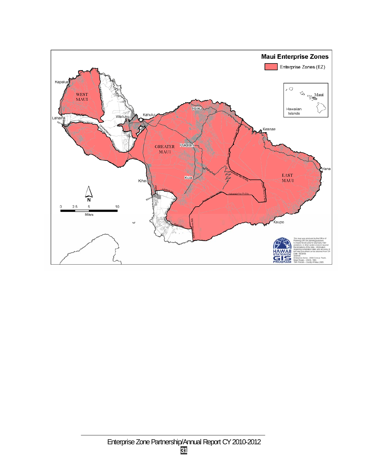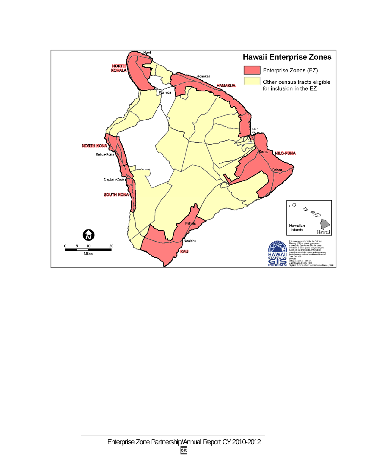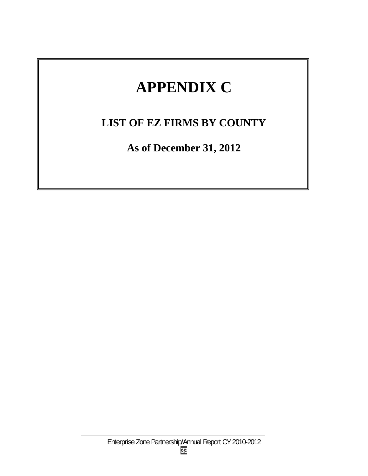# **APPENDIX C**

# **LIST OF EZ FIRMS BY COUNTY**

**As of December 31, 2012**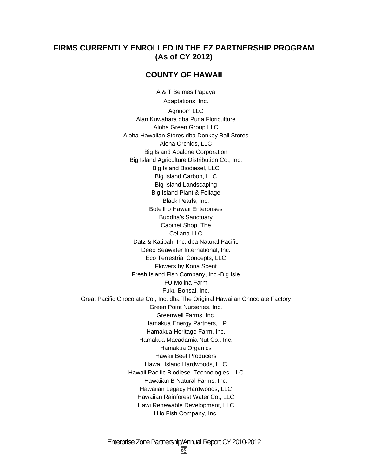# **FIRMS CURRENTLY ENROLLED IN THE EZ PARTNERSHIP PROGRAM (As of CY 2012)**

# **COUNTY OF HAWAII**

 Big Island Biodiesel, LLC A & T Belmes Papaya Adaptations, Inc. Agrinom LLC Alan Kuwahara dba Puna Floriculture Aloha Green Group LLC Aloha Hawaiian Stores dba Donkey Ball Stores Aloha Orchids, LLC Big Island Abalone Corporation Big Island Agriculture Distribution Co., Inc. Big Island Carbon, LLC Big Island Landscaping Big Island Plant & Foliage Black Pearls, Inc. Boteilho Hawaii Enterprises Buddha's Sanctuary Cabinet Shop, The Cellana LLC Datz & Katibah, Inc. dba Natural Pacific Deep Seawater International, Inc. Eco Terrestrial Concepts, LLC Flowers by Kona Scent Fresh Island Fish Company, Inc.-Big Isle FU Molina Farm Fuku-Bonsai, Inc. Great Pacific Chocolate Co., Inc. dba The Original Hawaiian Chocolate Factory Green Point Nurseries, Inc. Greenwell Farms, Inc. Hamakua Energy Partners, LP Hamakua Heritage Farm, Inc. Hamakua Macadamia Nut Co., Inc. Hamakua Organics Hawaii Beef Producers Hawaii Island Hardwoods, LLC Hawaii Pacific Biodiesel Technologies, LLC Hawaiian B Natural Farms, Inc. Hawaiian Legacy Hardwoods, LLC Hawaiian Rainforest Water Co., LLC Hawi Renewable Development, LLC Hilo Fish Company, Inc.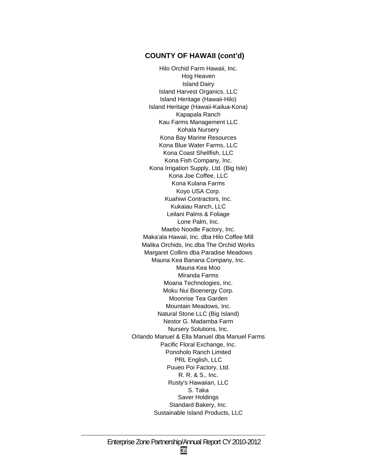## **COUNTY OF HAWAII (cont'd)**

Hilo Orchid Farm Hawaii, Inc. Hog Heaven Island Dairy Island Harvest Organics, LLC Island Heritage (Hawaii-Hilo) Island Heritage (Hawaii-Kailua-Kona) Kapapala Ranch Kau Farms Management LLC Kohala Nursery Kona Bay Marine Resources Kona Blue Water Farms, LLC Kona Coast Shellfish, LLC Kona Fish Company, Inc. Kona Irrigation Supply, Ltd. (Big Isle) Kona Joe Coffee, LLC Kona Kulana Farms Koyo USA Corp. Kuahiwi Contractors, Inc. Kukaiau Ranch, LLC Leilani Palms & Foliage Lone Palm, Inc. Maebo Noodle Factory, Inc. Maka'ala Hawaii, Inc. dba Hilo Coffee Mill Malika Orchids, Inc.dba The Orchid Works Margaret Collins dba Paradise Meadows Mauna Kea Banana Company, Inc. Mauna Kea Moo Miranda Farms Moana Technologies, Inc. Moku Nui Bioenergy Corp. Moonrise Tea Garden Mountain Meadows, Inc. Natural Stone LLC (Big Island) Nestor G. Madamba Farm Nursery Solutions, Inc. Orlando Manuel & Ella Manuel dba Manuel Farms Pacific Floral Exchange, Inc. Ponoholo Ranch Limited PRL English, LLC Puueo Poi Factory, Ltd. R. R. & S., Inc. Rusty's Hawaiian, LLC S. Taka Saver Holdings Standard Bakery, Inc. Sustainable Island Products, LLC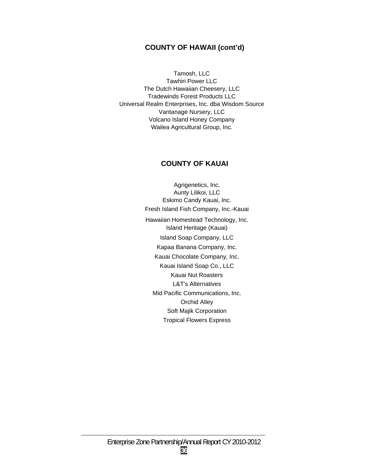## **COUNTY OF HAWAII (cont'd)**

Tamosh, LLC Tawhiri Power LLC The Dutch Hawaiian Cheesery, LLC Tradewinds Forest Products LLC Universal Realm Enterprises, Inc. dba Wisdom Source Vantanage Nursery, LLC Volcano Island Honey Company Wailea Agricultural Group, Inc.

## **COUNTY OF KAUAI**

Agrigenetics, Inc. Aunty Lilikoi, LLC Eskimo Candy Kauai, Inc. Fresh Island Fish Company, Inc.-Kauai Hawaiian Homestead Technology, Inc. Island Heritage (Kauai) Island Soap Company, LLC Kapaa Banana Company, Inc. Kauai Chocolate Company, Inc. Kauai Island Soap Co., LLC Kauai Nut Roasters L&T's Alternatives Mid Pacific Communications, Inc. Orchid Alley Soft Majik Corporation Tropical Flowers Express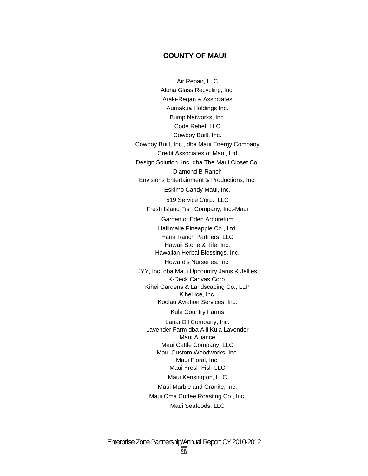#### **COUNTY OF MAUI**

Air Repair, LLC Aloha Glass Recycling, Inc. Araki-Regan & Associates Aumakua Holdings Inc. Bump Networks, Inc. Code Rebel, LLC Cowboy Built, Inc. Cowboy Built, Inc., dba Maui Energy Company Credit Associates of Maui, Ltd Design Solution, Inc. dba The Maui Closet Co. Diamond B Ranch Envisions Entertainment & Productions, Inc. Eskimo Candy Maui, Inc. 519 Service Corp., LLC Fresh Island Fish Company, Inc.-Maui Garden of Eden Arboretum Haliimaile Pineapple Co., Ltd. Hana Ranch Partners, LLC Hawaii Stone & Tile, Inc. Hawaiian Herbal Blessings, Inc. Howard's Nurseries, Inc. JYY, Inc. dba Maui Upcountry Jams & Jellies K-Deck Canvas Corp. Kihei Gardens & Landscaping Co., LLP Kihei Ice, Inc. Koolau Aviation Services, Inc. Kula Country Farms Lanai Oil Company, Inc. Lavender Farm dba Alii Kula Lavender Maui Alliance Maui Cattle Company, LLC Maui Custom Woodworks, Inc. Maui Floral, Inc. Maui Fresh Fish LLC Maui Kensington, LLC Maui Marble and Granite, Inc. Maui Oma Coffee Roasting Co., Inc. Maui Seafoods, LLC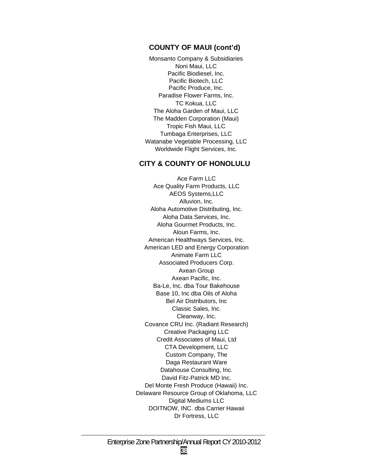#### **COUNTY OF MAUI (cont'd)**

Monsanto Company & Subsidiaries Noni Maui, LLC Pacific Biodiesel, Inc. Pacific Biotech, LLC Pacific Produce, Inc. Paradise Flower Farms, Inc. TC Kokua, LLC The Aloha Garden of Maui, LLC The Madden Corporation (Maui) Tropic Fish Maui, LLC Tumbaga Enterprises, LLC Watanabe Vegetable Processing, LLC Worldwide Flight Services, Inc.

#### **CITY & COUNTY OF HONOLULU**

Ace Farm LLC Ace Quality Farm Products, LLC AEOS Systems,LLC Alluvion, Inc. Aloha Automotive Distributing, Inc. Aloha Data Services, Inc. Aloha Gourmet Products, Inc. Aloun Farms, Inc. American Healthways Services, Inc. American LED and Energy Corporation Animate Farm LLC Associated Producers Corp. Axean Group Axean Pacific, Inc. Ba-Le, Inc. dba Tour Bakehouse Base 10, Inc dba Oils of Aloha Bel Air Distributors, Inc Classic Sales, Inc. Cleanway, Inc. Covance CRU Inc. (Radiant Research) Creative Packaging LLC Credit Associates of Maui, Ltd CTA Development, LLC Custom Company, The Daga Restaurant Ware Datahouse Consulting, Inc. David Fitz-Patrick MD Inc. Del Monte Fresh Produce (Hawaii) Inc. Delaware Resource Group of Oklahoma, LLC Digital Mediums LLC DOITNOW, INC. dba Carrier Hawaii Dr Fortress, LLC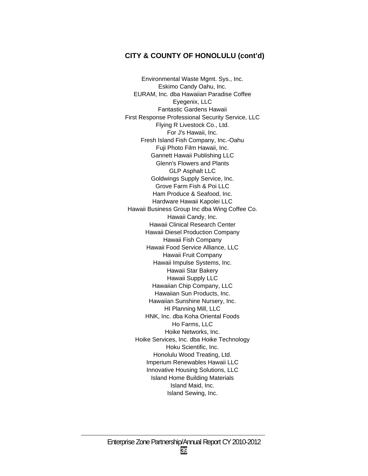Environmental Waste Mgmt. Sys., Inc. Eskimo Candy Oahu, Inc. EURAM, Inc. dba Hawaiian Paradise Coffee Eyegenix, LLC Fantastic Gardens Hawaii First Response Professional Security Service, LLC Flying R Livestock Co., Ltd. For J's Hawaii, Inc. Fresh Island Fish Company, Inc.-Oahu Fuji Photo Film Hawaii, Inc. Gannett Hawaii Publishing LLC Glenn's Flowers and Plants GLP Asphalt LLC Goldwings Supply Service, Inc. Grove Farm Fish & Poi LLC Ham Produce & Seafood, Inc. Hardware Hawaii Kapolei LLC Hawaii Business Group Inc dba Wing Coffee Co. Hawaii Candy, Inc. Hawaii Clinical Research Center Hawaii Diesel Production Company Hawaii Fish Company Hawaii Food Service Alliance, LLC Hawaii Fruit Company Hawaii Impulse Systems, Inc. Hawaii Star Bakery Hawaii Supply LLC Hawaiian Chip Company, LLC Hawaiian Sun Products, Inc. Hawaiian Sunshine Nursery, Inc. HI Planning Mill, LLC HNK, Inc. dba Koha Oriental Foods Ho Farms, LLC Hoike Networks, Inc. Hoike Services, Inc. dba Hoike Technology Hoku Scientific, Inc. Honolulu Wood Treating, Ltd. Imperium Renewables Hawaii LLC Innovative Housing Solutions, LLC Island Home Building Materials Island Maid, Inc. Island Sewing, Inc.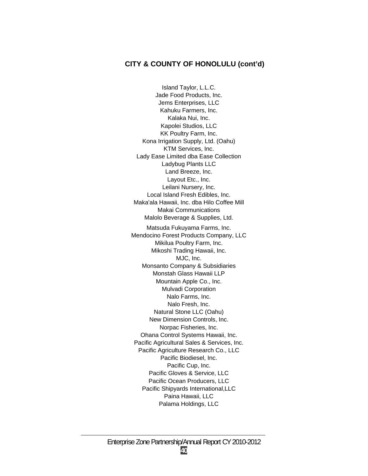Island Taylor, L.L.C. Jade Food Products, Inc. Jems Enterprises, LLC Kahuku Farmers, Inc. Kalaka Nui, Inc. Kapolei Studios, LLC KK Poultry Farm, Inc. Kona Irrigation Supply, Ltd. (Oahu) KTM Services, Inc. Lady Ease Limited dba Ease Collection Ladybug Plants LLC Land Breeze, Inc. Layout Etc., Inc. Leilani Nursery, Inc. Local Island Fresh Edibles, Inc. Maka'ala Hawaii, Inc. dba Hilo Coffee Mill Makai Communications Malolo Beverage & Supplies, Ltd. Matsuda Fukuyama Farms, Inc. Mendocino Forest Products Company, LLC Mikilua Poultry Farm, Inc. Mikoshi Trading Hawaii, Inc. MJC, Inc. Monsanto Company & Subsidiaries Monstah Glass Hawaii LLP Mountain Apple Co., Inc. Mulvadi Corporation Nalo Farms, Inc. Nalo Fresh, Inc. Natural Stone LLC (Oahu) New Dimension Controls, Inc. Norpac Fisheries, Inc. Ohana Control Systems Hawaii, Inc. Pacific Agricultural Sales & Services, Inc. Pacific Agriculture Research Co., LLC Pacific Biodiesel, Inc. Pacific Cup, Inc. Pacific Gloves & Service, LLC Pacific Ocean Producers, LLC Pacific Shipyards International,LLC Paina Hawaii, LLC Palama Holdings, LLC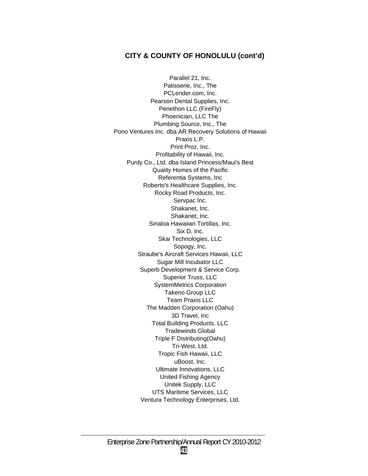Parallel 21, Inc. Patisserie, Inc., The PCLender.com, Inc. Pearson Dental Supplies, Inc. Penethon LLC (FireFly) Phoenician, LLC The Plumbing Source, Inc., The Pono Ventures Inc. dba AR Recovery Solutions of Hawaii Praxis L.P. Print Proz, Inc. Profitability of Hawaii, Inc. Purdy Co., Ltd. dba Island Princess/Maui's Best Quality Homes of the Pacific Referentia Systems, Inc Roberto's Healthcare Supplies, Inc. Rocky Road Products, Inc. Servpac Inc. Shakanet, Inc. Shakanet, Inc. Sinaloa Hawaiian Tortillas, Inc. Six D, Inc. Skai Technologies, LLC Sopogy, Inc. Straube's Aircraft Services Hawaii, LLC Sugar Mill Incubator LLC Superb Development & Service Corp. Superior Truss, LLC SystemMetrics Corporation Takeno Group LLC Team Praxis LLC The Madden Corporation (Oahu) 3D Travel, Inc Total Building Products, LLC Tradewinds Global Triple F Distributing(Oahu) Tri-West, Ltd. Tropic Fish Hawaii, LLC uBoost, Inc. Ultimate Innovations, LLC United Fishing Agency Unitek Supply, LLC UTS Maritime Services, LLC Ventura Technology Enterprises, Ltd.